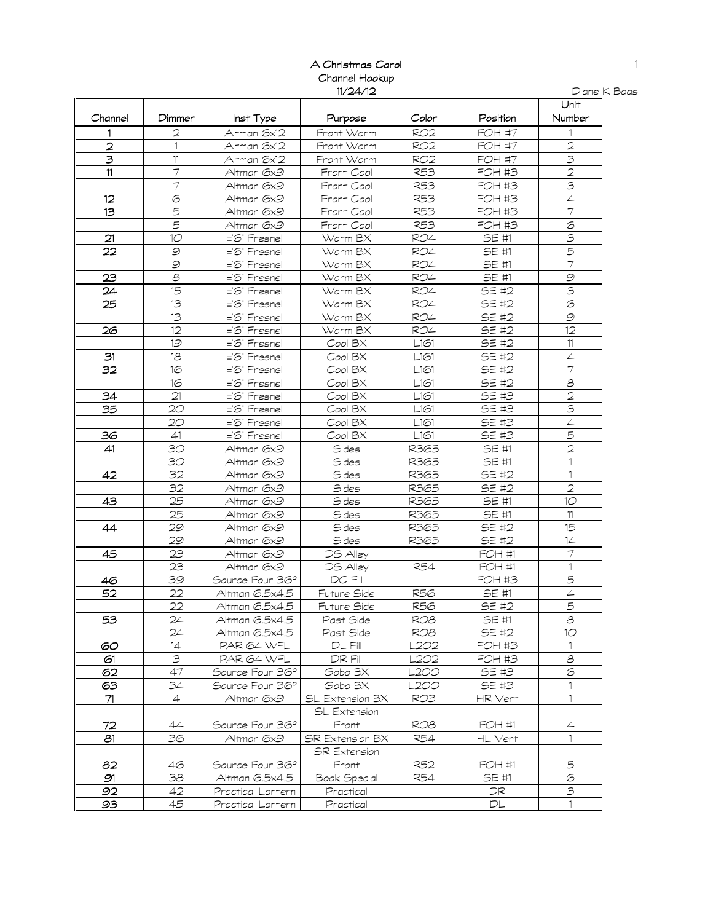## A Christmas Carol Channel Hookup 11/24/12

| Diane K Baas |  |  |
|--------------|--|--|
|--------------|--|--|

|                         |                 |                   |                        |                                             |               | Unit                     |
|-------------------------|-----------------|-------------------|------------------------|---------------------------------------------|---------------|--------------------------|
| Channel                 | Dimmer          | Inst Type         | Purpose                | Color                                       | Position      | Number                   |
| 1                       | 2               | Altman 6x12       | Front Warm             | RO <sub>2</sub>                             | <b>FOH #7</b> |                          |
| $\overline{2}$          | $\mathbf{1}$    | Altman 6x12       | Front Warm             | RO <sub>2</sub>                             | <b>FOH #7</b> | $\overline{a}$           |
| $\overline{\mathsf{3}}$ | 11              | Altman 6x12       | Front Warm             | <b>RO2</b>                                  | <b>FOH #7</b> | $\overline{\mathbf{3}}$  |
| 11                      | $\overline{7}$  | Altman 6x9        | Front Cool             | R53                                         | <b>FOH #3</b> | $\overline{2}$           |
|                         |                 | Altman 6x9        | Front Cool             | R53                                         | <b>FOH #3</b> | $\overline{\mathbf{3}}$  |
| 12                      | $\circ$         | Altman 6x9        | Front Cool             | R53                                         | <b>FOH #3</b> | $\overline{4}$           |
| 13                      | 5               | Altman 6x9        | Front Cool             | R53                                         | <b>FOH #3</b> | $\overline{\tau}$        |
|                         | 5               | Altman 6x9        | Front Cool             | R53                                         | <b>FOH #3</b> | $\odot$                  |
| 21                      | 10              | ='6" Fresnel      | Warm BX                | <b>RO4</b>                                  | SE #1         | $\mathbf{B}$             |
| 22                      | $\mathcal{Q}$   | ='6" Fresnel      | Warm BX                | <b>RO4</b>                                  | SE #1         | $\overline{5}$           |
|                         | 9               | ='6" Fresnel      | Warm BX                | RO4                                         | SE #1         | $\overline{\tau}$        |
| 23                      | $\mathcal S$    | ='6" Fresnel      | Warm BX                | <b>RO4</b>                                  | SE #1         | $\mathcal{Q}$            |
| 24                      | 15              | ='6" Fresnel      | Warm BX                | <b>RO4</b>                                  | SE #2         | $\overline{\mathbf{3}}$  |
| 25                      | 13              | ='6" Fresnel      | Warm BX                | <b>RO4</b>                                  | SE #2         | $\overline{6}$           |
|                         | 13              | ='6" Fresnel      | Warm BX                | <b>RO4</b>                                  | SE #2         | $\mathcal{Q}$            |
| 26                      | 12              | ='6" Fresnel      | Warm BX                | <b>RO4</b>                                  | SE #2         | 12                       |
|                         | 19              | ='6" Fresnel      | Cool BX                | $\begin{array}{c} \boxed{-161} \end{array}$ | SE #2         | $11\,$                   |
| 31                      | 18              | ='6" Fresnel      | Cool BX                | L161                                        | SE #2         | $\overline{4}$           |
| 32                      | 16              | ='6" Fresnel      | Cool BX                | L161                                        | SE #2         | $\overline{7}$           |
|                         | 16              | ='6" Fresnel      | Cool BX                | L161                                        | <b>SE #2</b>  | $\overline{\mathcal{S}}$ |
| 34                      | 21              | ='6" Fresnel      | Cool BX                | L161                                        | SE #3         | $\overline{2}$           |
| 35                      | 20              | ='6" Fresnel      | Cool BX                | L161                                        | SE #3         | $\overline{\mathbf{3}}$  |
|                         | 20              | ='6" Fresnel      | Cool BX                | L161                                        | SE #3         | $\overline{4}$           |
| 36                      | 41              | ='6" Fresnel      | Cool BX                | L161                                        | <b>SE #3</b>  | 5                        |
| 41                      | 30              | Altman 6x9        | Sides                  | R365                                        | SE #1         | $\overline{c}$           |
|                         | 30              | Altman 6x9        | Sides                  | R365                                        | SE #1         | 1                        |
| 42                      | 32              | Altman 6x9        | Sides                  | R365                                        | SE #2         | 1                        |
|                         | 32              | Altman 6x9        | Sides                  | R365                                        | SE #2         | $\overline{2}$           |
| 43                      | 25              | Altman 6x9        | Sides                  | R365                                        | SE #1         | 10                       |
|                         | 25              | Altman 6x9        | Sides                  | R365                                        | SE #1         | 11                       |
| 44                      | 29              | Altman 6x9        | Sides                  | R365                                        | SE #2         | 15                       |
|                         | 29              | Altman 6x9        | Sides                  | R365                                        | <b>SE #2</b>  | 14                       |
| 45                      | 23              | Altman 6x9        | DS Alley               |                                             | FOH #1        |                          |
|                         | 23              | Altman 6x9        | DS Alley               | R54                                         | FOH #1        | 1                        |
| 46                      | 39              | Source Four 36°   | $DC$ Fill              |                                             | <b>FOH #3</b> | 5                        |
| 52                      | 22              | Altman 6.5x4.5    | Future Side            | <b>R56</b>                                  | SE #1         | $\overline{4}$           |
|                         | 22              | Altman 6.5x4.5    | Future Side            | R56                                         | <b>SE #2</b>  | $\overline{5}$           |
| 53                      | $\overline{24}$ | Altman 6.5x4.5    | Past Side              | RO <sub>8</sub>                             | SE#1          | $\overline{\mathcal{E}}$ |
|                         | 24              | Altman 6.5x4.5    | Past Side              | ROB                                         | SE #2         | 10                       |
| 60                      | 14              | PAR 64 WFL        | $DL$ Fill              | L2O2                                        | FOH #3        |                          |
| 61                      | 3               | PAR 64 WFL        | DR FIII                | L2O2                                        | FOH #3        | 8                        |
| 62                      | 47              | Source Four 36°   | Gobo BX                | L200                                        | SE #3         | 6                        |
| 63                      | 34              | Source Four 36°   | Gobo BX                | -200                                        | SE #3         | 1.                       |
| 71                      | 4               | Altman 6x9        | SL Extension BX        | RO3                                         | HR Vert       | 1                        |
|                         |                 |                   | SL Extension           |                                             |               |                          |
| 72                      | 44              | Source Four 36°   | Front                  | ROB                                         | FOH #1        | 4                        |
| 81                      | 36              | Altman 6x9        | <b>SR Extension BX</b> | R54                                         | HL Vert       | $\mathbf{1}$             |
|                         |                 |                   | <b>SR Extension</b>    |                                             |               |                          |
| 82                      | 46              | Source Four 36°   | Front                  | R52                                         | FOH #1        | 5                        |
| 91                      | 38              | Altman 6.5x4.5    | Book Special           | R54                                         | SE #1         | 6                        |
| 92                      | 42              | Practical Lantern | Practical              |                                             | DR.           | З                        |
| 93                      | 45              | Practical Lantern | Practical              |                                             | DL            | $\mathbf{1}$             |
|                         |                 |                   |                        |                                             |               |                          |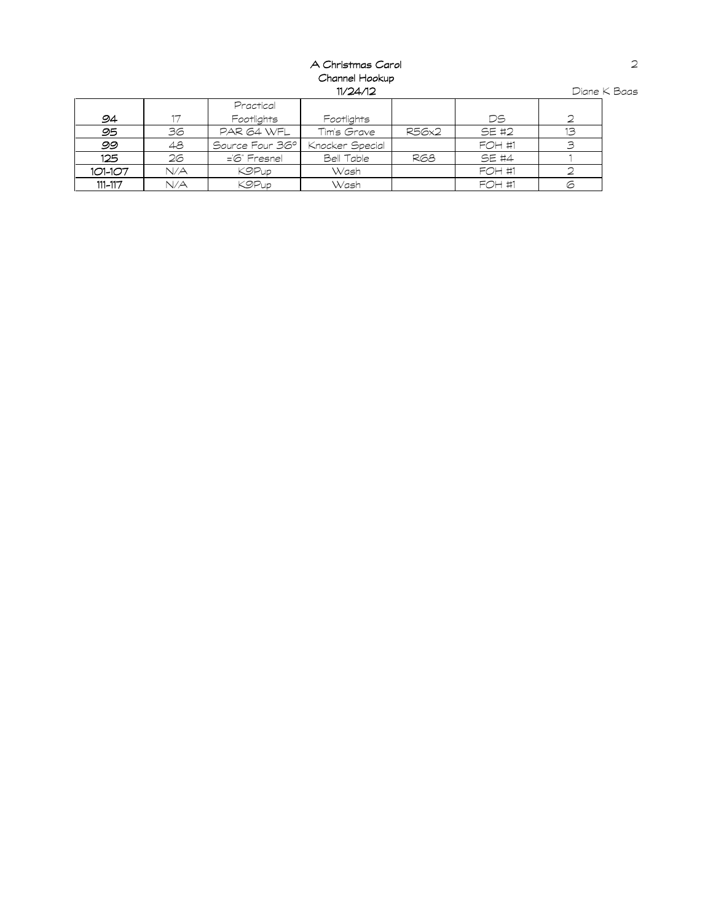#### A Christmas Carol Channel Hookup 11/24/12

|         |     | Practical         |                 |       |               |                 |
|---------|-----|-------------------|-----------------|-------|---------------|-----------------|
| 94      | 17  | Footlights        | Footlights      |       | DS            |                 |
| 95      | 36  | PAR 64 WFL        | Tim's Grave     | R56x2 | SE #2         | 13 <sup>°</sup> |
| 99      | 48  | Source Four 36°1  | Knocker Special |       | <b>FOH #1</b> | З               |
| 125     | 26  | $=$ $6$ " Fresnel | Bell Table      | R68   | SE #4         |                 |
| 101-107 | N/A | <b>KOPup</b>      | Wash            |       | <b>FOH #1</b> |                 |
| 111-117 | N/A | <b>K9Pup</b>      | Wash            |       | <b>FOH #1</b> | G               |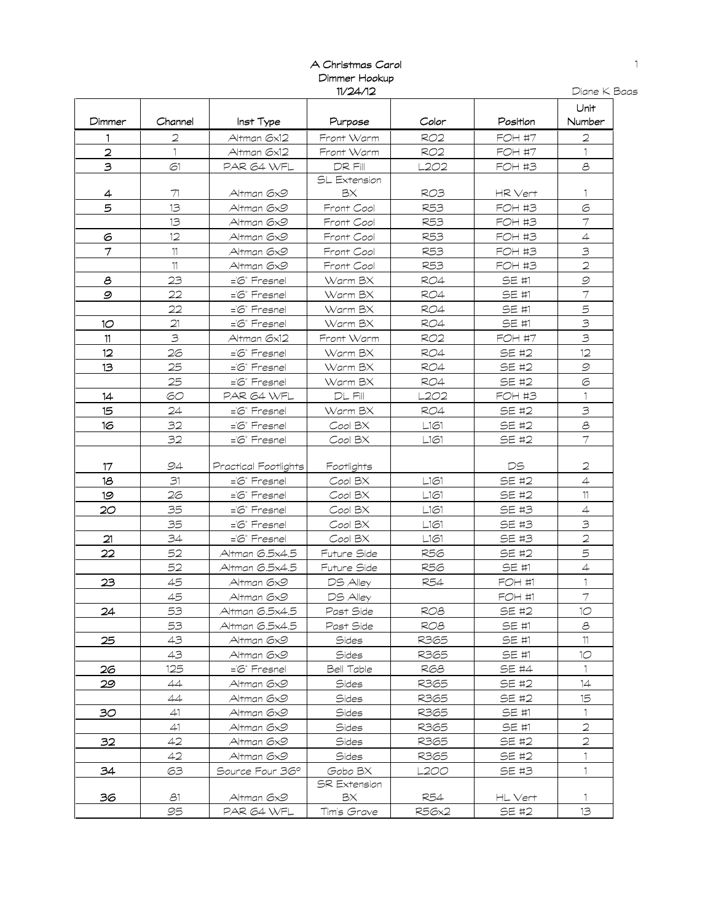### A Christmas Carol Dimmer Hookup 11/24/12

| пr<br>ه م | $\mathbf{r}$ |
|-----------|--------------|
|           |              |

|                |         |                      |                                                                 |                 |               | Unit           |
|----------------|---------|----------------------|-----------------------------------------------------------------|-----------------|---------------|----------------|
| Dimmer         | Channel | Inst Type            | Purpose                                                         | Color           | Position      | Number         |
| 1              | 2       | Altman 6x12          | Front Warm                                                      | <b>RO2</b>      | <b>FOH #7</b> | 2              |
| 2              | 1       | Altman 6x12          | Front Warm                                                      | <b>RO2</b>      | <b>FOH #7</b> | 1              |
| 3              | 61      | PAR 64 WFL           | DR FIII                                                         | L2O2            | <b>FOH #3</b> | 8              |
|                |         |                      | SL Extension                                                    |                 |               |                |
| 4              | 71      | Altman 6x9           | ΒX                                                              | <b>RO3</b>      | HR Vert       |                |
| 5              | 13      | Altman 6x9           | Front Cool                                                      | <b>R53</b>      | <b>FOH #3</b> | 6              |
|                | 13      | Altman 6x9           | Front Cool                                                      | <b>R53</b>      | <b>FOH #3</b> | $\overline{7}$ |
| 6              | 12      | Altman 6x9           | Front Cool                                                      | <b>R53</b>      | <b>FOH #3</b> | $\overline{4}$ |
| 7              | $11$    | Altman 6x9           | Front Cool                                                      | <b>R53</b>      | <b>FOH #3</b> | 3              |
|                | 11      | Altman 6x9           | Front Cool                                                      | <b>R53</b>      | <b>FOH #3</b> | $\overline{2}$ |
| 8              | 23      | ='6" Fresnel         | Warm BX                                                         | RO4             | SE #1         | $\mathcal{Q}$  |
| $\mathcal{Q}$  | 22      | ='6" Fresnel         | Warm BX                                                         | RO4             | SE #1         | $\overline{7}$ |
|                | 22      | ='6" Fresnel         | Warm BX                                                         | <b>RO4</b>      | SE #1         | 5              |
| 1 <sup>o</sup> | 21      | ='6" Fresnel         | Warm BX                                                         | <b>RO4</b>      | SE #1         | 3              |
| 11             | 3       | Altman 6x12          | Front Warm                                                      | <b>RO2</b>      | <b>FOH #7</b> | $\mathcal{B}$  |
| 12             | 26      | ='6" Fresnel         | Warm BX                                                         | <b>RO4</b>      | SE #2         | 12             |
| 13             | 25      | ='6" Fresnel         | Warm BX                                                         | <b>RO4</b>      | SE #2         | $\mathcal{Q}$  |
|                | 25      | ='6" Fresnel         | Warm BX                                                         | <b>RO4</b>      | SE #2         | 6              |
| 14             | 60      | PAR 64 WFL           | $DL$ Fill                                                       | L2O2            | <b>FOH #3</b> |                |
| 15             | 24      | ='6" Fresnel         | Warm BX                                                         | <b>RO4</b>      | SE #2         | $\mathcal{B}$  |
| 16             | 32      | ='6" Fresnel         | Cool BX                                                         | L161            | <b>SE #2</b>  | $\mathcal S$   |
|                | 32      | ='6" Fresnel         | Cool BX                                                         | L161            | SE #2         | $\overline{7}$ |
|                |         |                      |                                                                 |                 |               |                |
| 17             | 94      | Practical Footlights | Footlights                                                      |                 | DS            | 2              |
| 18             | 31      | ='6" Fresnel         | $\mathop{\mathcal{C}\mathit{ool}}\nolimits\mathop{\mathsf{BX}}$ | L161            | SE #2         | $\overline{4}$ |
| 19             | 26      | ='6" Fresnel         | Cool BX                                                         | L161            | SE #2         | 11             |
| 20             | 35      | ='6" Fresnel         | Cool BX                                                         | L161            | SE #3         | $\overline{4}$ |
|                | 35      | ='6" Fresnel         | Cool BX                                                         | L161            | SE #3         | $\mathfrak{S}$ |
| 21             | 34      | ='6" Fresnel         | Cool BX                                                         | L161            | SE #3         | $\overline{2}$ |
| 22             | 52      | Altman 6.5x4.5       | Future Side                                                     | <b>R56</b>      | SE #2         | 5              |
|                | 52      | Altman 6.5x4.5       | Future Side                                                     | <b>R56</b>      | SE #1         | $\overline{4}$ |
| 23             | 45      | Altman 6x9           | DS Alley                                                        | <b>R54</b>      | FOH #1        |                |
|                | 45      | Altman 6x9           | DS Alley                                                        |                 | FOH #1        | $\overline{7}$ |
| 24             | 53      | Altman 6.5x4.5       | Past Side                                                       | RO <sub>8</sub> | SE #2         | 10             |
|                | 53      | Altman 6.5x4.5       | Past Side                                                       | ROB             | SE #1         | 8              |
| 25             | 43      | Altman 6x9           | Sides                                                           | R365            | SE #1         | 11.            |
|                | 43      | Altman 6x9           | Sides                                                           | R365            | SE #1         | 10             |
| 26             | 125     | $=\infty$ " Fresnel  | Bell Table                                                      | R68             | SE #4         | $\mathbf{1}$   |
| 29             | 44      | Altman 6x9           | Sides                                                           | R365            | SE #2         | 14             |
|                | 44      | Altman 6x9           | <b>Sides</b>                                                    | R365            | SE #2         | 15             |
| 30             | 41      | Altman 6x9           | Sides                                                           | R365            | SE #1         | $\mathbf{1}$   |
|                | 41      | Altman 6x9           | Sides                                                           | R365            | SE #1         | 2              |
| 32             | 42      | Altman 6x9           | Sides                                                           | R365            | SE #2         | 2              |
|                | 42      | Altman 6x9           | Sides                                                           | R365            | SE #2         | 1              |
| 34             | 63      | Source Four 36°      | Gobo BX                                                         | L200            | SE #3         | 1              |
|                |         |                      | <b>SR Extension</b>                                             |                 |               |                |
| 36             | 81      | Altman 6x9           | ВX                                                              | R54             | HL Vert       |                |
|                | 95      | PAR 64 WFL           | Tim's Grave                                                     | R56x2           | SE #2         | 13             |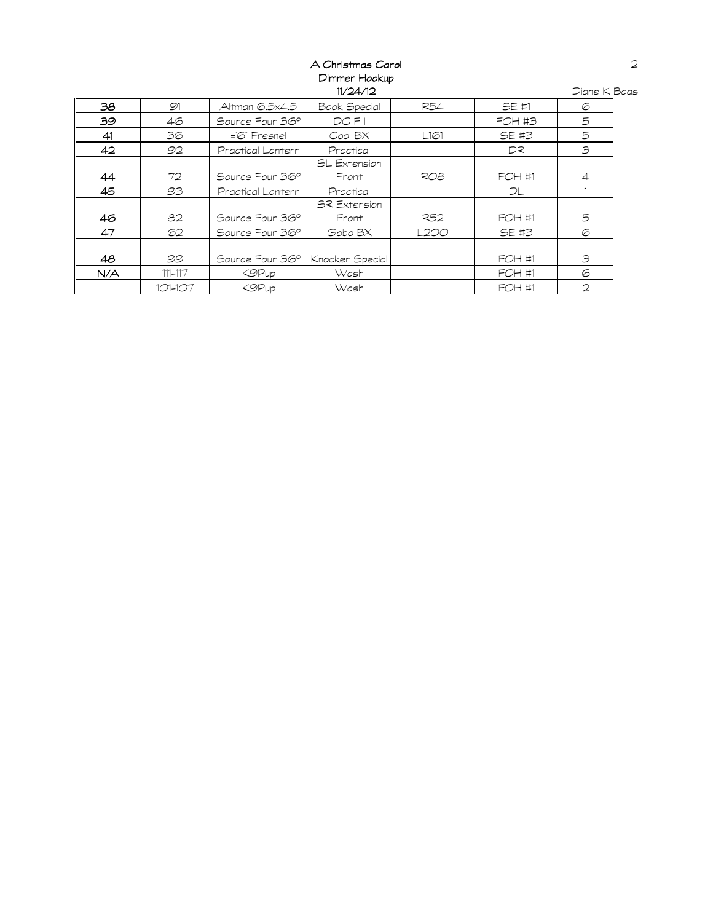# A Christmas Carol Dimmer Hookup 11/24/12

| 38  | 91          | Altman 6.5x4.5    | Book Special        | R54  | SE #1         | 6              |
|-----|-------------|-------------------|---------------------|------|---------------|----------------|
| 39  | 46          | Source Four 36°   | $DC$ $Fill$         |      | <b>FOH #3</b> | 5              |
| 41  | 36          | ='6" Fresnel      | Cool BX             | L161 | SE #3         | 5              |
| 42  | 92          | Practical Lantern | Practical           |      | DR            | 3              |
|     |             |                   | SL Extension        |      |               |                |
| 44  | 72          | Source Four 36°   | Front               | RO8  | <b>FOH #1</b> | $\overline{4}$ |
| 45  | 93          | Practical Lantern | Practical           |      | DL            |                |
|     |             |                   | <b>SR Extension</b> |      |               |                |
| 46  | 82          | Source Four 36°   | Front               | R52  | <b>FOH #1</b> | 5              |
| 47  | 62          | Source Four 36°   | Gobo BX             | L2OO | SE #3         | 6              |
|     |             |                   |                     |      |               |                |
| 48  | 99          | Source Four 36°   | Knocker Special     |      | FOH #1        | 3              |
| N/A | $111 - 117$ | <b>KOPup</b>      | Wash                |      | FOH #1        | 6              |
|     | 101-107     | <b>K9Pup</b>      | Wash                |      | FOH #1        | $\overline{2}$ |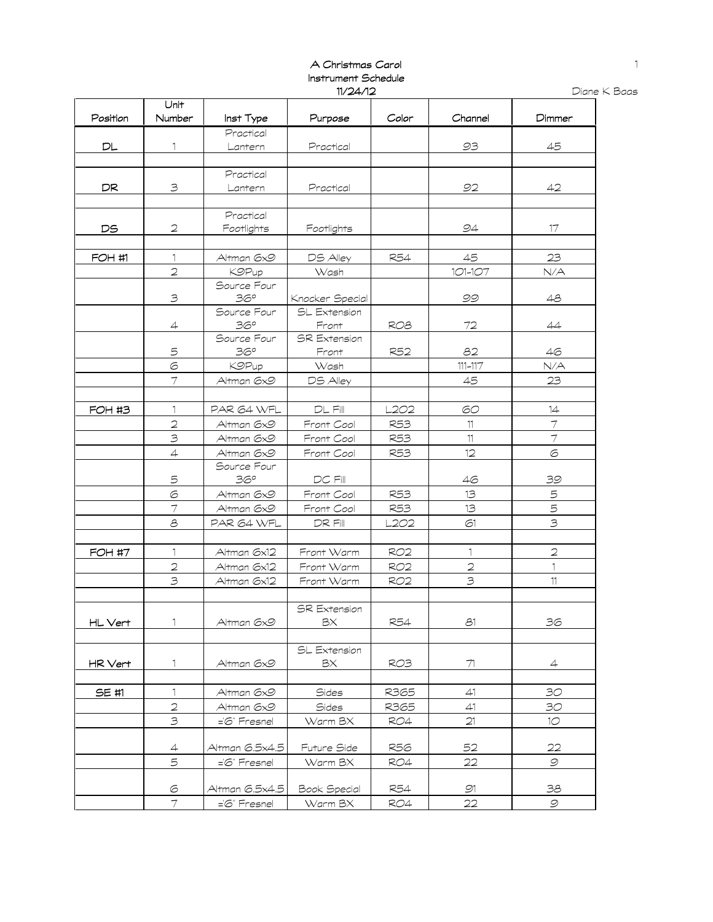### A Christmas Carol Instrument Schedule 11/24/12

|          | Unit           |                   |                     |                 |                |                          |
|----------|----------------|-------------------|---------------------|-----------------|----------------|--------------------------|
| Position | Number         | Inst Type         | Purpose             | Color           | Channel        | Dimmer                   |
|          |                | Practical         |                     |                 |                |                          |
| DL       | 1              | Lantern           | Practical           |                 | 93             | 45                       |
|          |                |                   |                     |                 |                |                          |
|          |                | Practical         |                     |                 |                |                          |
| DR       | 3              | Lantern           | Practical           |                 | 92             | 42                       |
|          |                |                   |                     |                 |                |                          |
|          |                | Practical         |                     |                 |                |                          |
| DS       | $\mathbf{C}$   | Footlights        | Footlights          |                 | 94             | 17                       |
|          |                |                   |                     |                 |                |                          |
| FOH #1   | $\mathbf{1}$   | Altman 6x9        | DS Alley            | R54             | 45             | 23                       |
|          | $\overline{2}$ | <b>KOPup</b>      | Wash                |                 | 101-107        | N/A                      |
|          |                | Source Four       |                     |                 |                |                          |
|          | 3              | 36°               | Knocker Special     |                 | 99             | 48                       |
|          |                | Source Four       | SL Extension        |                 |                |                          |
|          | $\overline{4}$ | 36°               | Front               | RO <sub>8</sub> | 72             | 44                       |
|          |                | Source Four       | <b>SR Extension</b> |                 |                |                          |
|          | 5              | 36°               | Front               | R52             | 82             | 46                       |
|          | $\circ$        | <b>KOPup</b>      | Wash                |                 | $111 - 117$    | N/A                      |
|          | $\tau$         | Altman 6x9        | DS Alley            |                 | 45             | 23                       |
|          |                |                   |                     |                 |                |                          |
| FOH #3   | $\mathbb{1}$   | PAR 64 WFL        | $\mathsf{DL}$ Fill  | L2O2            | 60             | 14                       |
|          | $\overline{2}$ | Altman 6x9        | Front Cool          | R53             | 11             | $\overline{7}$           |
|          | $\mathbf{B}$   | Altman 6x9        | Front Cool          | R53             | 11             | $\overline{\mathcal{I}}$ |
|          | $\overline{4}$ | Altman 6x9        | Front Cool          | R53             | 12             | 6                        |
|          |                | Source Four       |                     |                 |                |                          |
|          | 5              | 36°               | DC Fill             |                 | 46             | 39                       |
|          | $\sigma$       | Altman 6x9        | Front Cool          | <b>R53</b>      | 13             | 5                        |
|          | $\overline{7}$ | Altman 6x9        | Front Cool          | R53             | 13             | 5                        |
|          | $\mathcal{E}$  | PAR 64 WFL        | DR Fill             | L2O2            | 61             | $\overline{\mathbf{3}}$  |
|          |                |                   |                     |                 |                |                          |
| FOH #7   | 1              | Altman 6x12       | Front Warm          | <b>RO2</b>      | 1              | $\mathfrak{D}$           |
|          | $\overline{2}$ | Altman 6x12       | Front Warm          | <b>RO2</b>      | $\overline{2}$ | $\mathbf{1}$             |
|          | $\mathfrak{Z}$ | Altman 6x12       | Front Warm          | RO <sub>2</sub> | $\mathfrak{S}$ | 11                       |
|          |                |                   |                     |                 |                |                          |
|          |                |                   | <b>SR Extension</b> |                 |                |                          |
| HL Vert  |                | Altman 6x9        | BX                  | <b>R54</b>      | 81             | 36                       |
|          |                |                   |                     |                 |                |                          |
|          |                |                   | SL Extension        |                 |                |                          |
| HR Vert  | 1.             | Altman 6x9        | BХ                  | RO3.            | 71             | 4                        |
|          |                |                   |                     |                 |                |                          |
| SE #1    | $\mathbf{1}$   | Altman 6x9        | <b>Sides</b>        | R365            | 41             | 30                       |
|          | $\mathbf{C}$   | Altman 6x9        | Sides               | R365            | 41             | 30                       |
|          | $\beta$        | ='6" Fresnel      | Warm BX             | <b>RO4</b>      | 21             | 10 <sup>°</sup>          |
|          |                |                   |                     |                 |                |                          |
|          | 4              | Altman 6.5x4.5    | Future Side         | R56             | 52             | 22                       |
|          | 5              | $=$ $6$ " Fresnel | Warm BX             | RO4             | 22             | 9                        |
|          | 6              | Altman 6.5x4.5    | Book Special        | R54             | 91             | 38                       |
|          | $\tau$         | ='6" Fresnel      | Warm BX             | RO4             | 22             | $\circ$                  |
|          |                |                   |                     |                 |                |                          |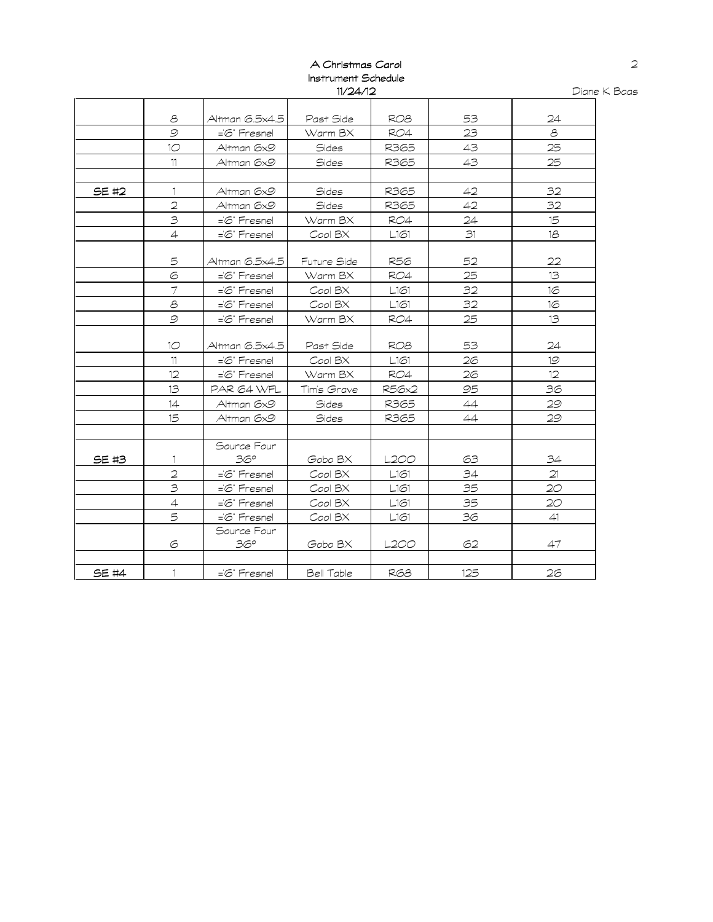## A Christmas Carol Instrument Schedule 11/24/12

|              | 8                       | Altman 6.5x4.5    | Past Side   | RO <sub>8</sub> | 53  | 24 |
|--------------|-------------------------|-------------------|-------------|-----------------|-----|----|
|              | $\mathcal{Q}$           | ='6" Fresnel      | Warm BX     | <b>RO4</b>      | 23  | 8  |
|              | 10 <sup>°</sup>         | Altman 6x9        | Sides       | R365            | 43  | 25 |
|              | 11                      | Altman 6x9        | Sides       | R365            | 43  | 25 |
|              |                         |                   |             |                 |     |    |
| SE #2        | 1                       | Altman 6x9        | Sides       | R365            | 42  | 32 |
|              | $\overline{2}$          | Altman 6x9        | Sides       | R365            | 42  | 32 |
|              | $\overline{\mathbf{3}}$ | ='6" Fresnel      | Warm BX     | <b>RO4</b>      | 24  | 15 |
|              | $\overline{4}$          | $=$ $6$ " Fresnel | Cool BX     | L161            | 31  | 18 |
|              |                         |                   |             |                 |     |    |
|              | 5                       | Altman 6.5x4.5    | Future Side | R56             | 52  | 22 |
|              | 6                       | ='6" Fresnel      | Warm BX     | <b>RO4</b>      | 25  | 13 |
|              | $\overline{7}$          | ='6" Fresnel      | Cool BX     | L161            | 32  | 16 |
|              | $\mathcal{E}$           | ='6" Fresnel      | Cool BX     | L161            | 32  | 16 |
|              | $\mathcal{Q}$           | ='6" Fresnel      | Warm BX     | RO4             | 25  | 13 |
|              |                         |                   |             |                 |     |    |
|              | 10                      | Altman 6.5x4.5    | Past Side   | ROB             | 53  | 24 |
|              | 11                      | ='6" Fresnel      | Cool BX     | L161            | 26  | 19 |
|              | 12                      | ='6" Fresnel      | Warm BX     | RO4             | 26  | 12 |
|              | 13                      | PAR 64 WFL        | Tim's Grave | <b>R56x2</b>    | 95  | 36 |
|              | 14                      | Altman 6x9        | Sides       | R365            | 44  | 29 |
|              | 15                      | Altman 6x9        | Sides       | R365            | 44  | 29 |
|              |                         |                   |             |                 |     |    |
|              |                         | Source Four       |             |                 |     |    |
| SE #3        | 1                       | 36°               | Gobo BX     | L2OO            | 63  | 34 |
|              | $\overline{2}$          | $=\,$ Fresnel     | Cool BX     | L161            | 34  | 21 |
|              | $\overline{\mathbf{3}}$ | ='6" Fresnel      | Cool BX     | L161            | 35  | 20 |
|              | $\overline{4}$          | ='6" Fresnel      | Cool BX     | L161            | 35  | 20 |
|              | 5                       | ='6" Fresnel      | Cool BX     | L161            | 36  | 41 |
|              |                         | Source Four       |             |                 |     |    |
|              | 6                       | 36°               | Gobo BX     | L200            | 62  | 47 |
|              |                         |                   |             |                 |     |    |
| <b>SE #4</b> | 1                       | ='6" Fresnel      | Bell Table  | <b>RG8</b>      | 125 | 26 |